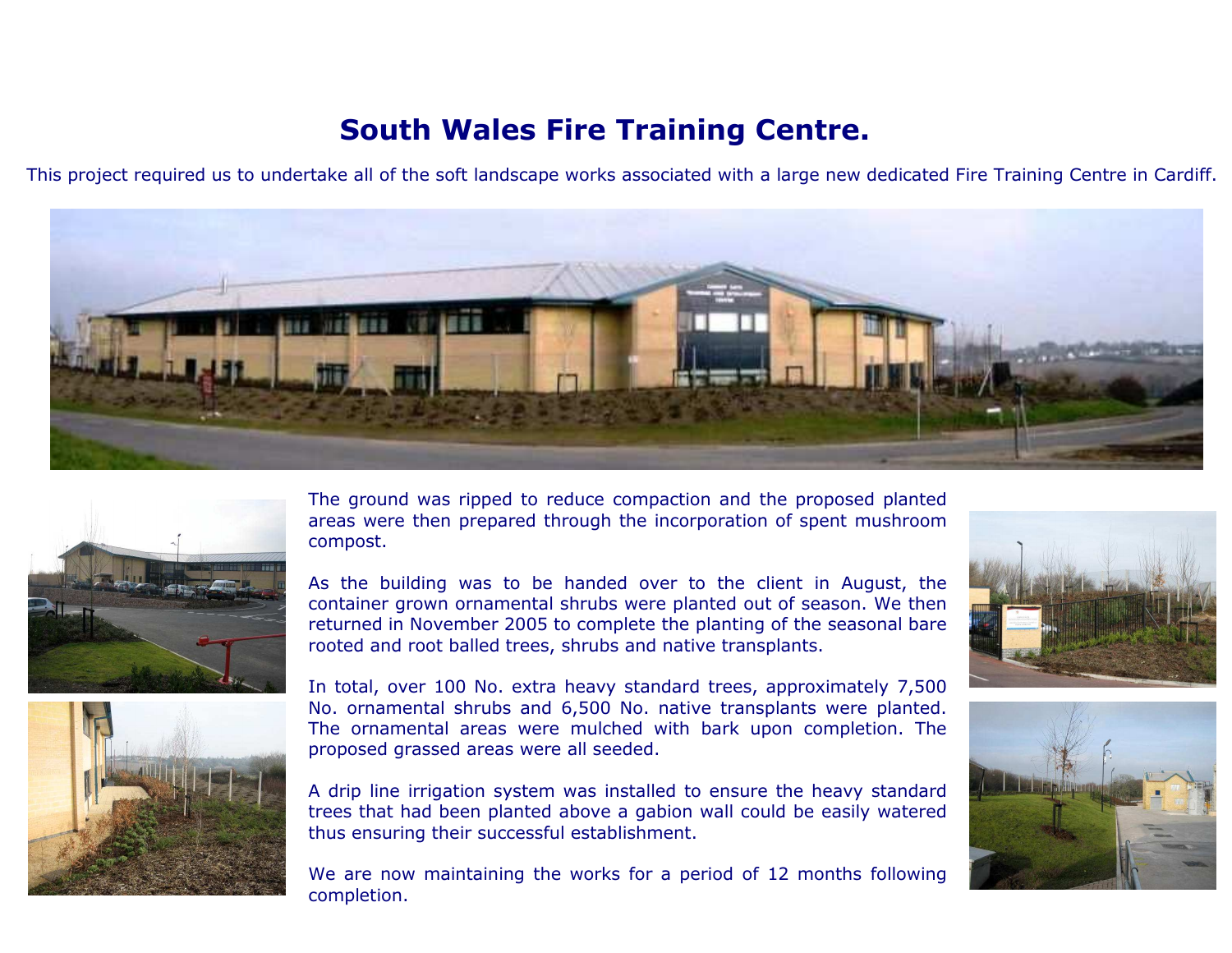## South Wales Fire Training Centre.

This project required us to undertake all of the soft landscape works associated with a large new dedicated Fire Training Centre in Cardiff.





The ground was ripped to reduce compaction and the proposed planted areas were then prepared through the incorporation of spent mushroomcompost.

As the building was to be handed over to the client in August, the container grown ornamental shrubs were planted out of season. We then returned in November 2005 to complete the planting of the seasonal barerooted and root balled trees, shrubs and native transplants.



In total, over 100 No. extra heavy standard trees, approximately 7,500 No. ornamental shrubs and 6,500 No. native transplants were planted. The ornamental areas were mulched with bark upon completion. Theproposed grassed areas were all seeded.

A drip line irrigation system was installed to ensure the heavy standard trees that had been planted above a gabion wall could be easily wateredthus ensuring their successful establishment.

We are now maintaining the works for a period of 12 months followingcompletion.